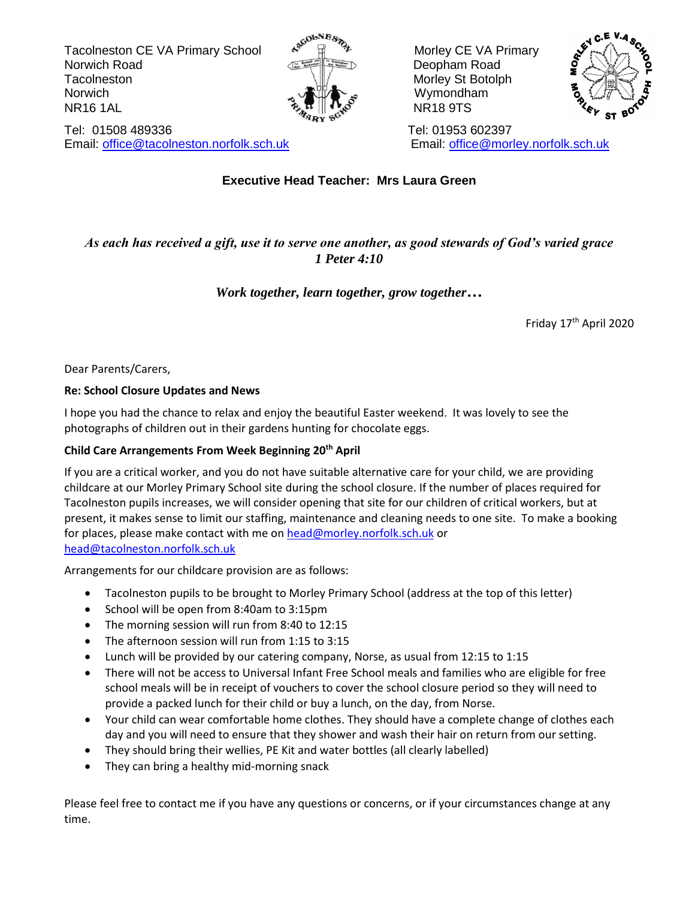Tacolneston CE VA Primary School A<sup>scourse</sup> and Morley CE VA Primary Norwich Road **Deopham Road** Deopham Road Tacolneston Morley St Botolph Morley St Botolph Norwich  $\sim$   $\sqrt{2\pi}$  wymondham  $\mathbb{R}$  NR16 1AL NR16 9TS



Tel: 01508 489336 Tel: 01953 602397 Email: [office@tacolneston.norfolk.sch.uk](mailto:office@tacolneston.norfolk.sch.uk) Email: [office@morley.norfolk.sch.uk](mailto:office@morley.norfolk.sch.uk) 



# **Executive Head Teacher: Mrs Laura Green**

## *As each has received a gift, use it to serve one another, as good stewards of God's varied grace 1 Peter 4:10*

### *Work together, learn together, grow together…*

Friday 17th April 2020

Dear Parents/Carers,

#### **Re: School Closure Updates and News**

I hope you had the chance to relax and enjoy the beautiful Easter weekend. It was lovely to see the photographs of children out in their gardens hunting for chocolate eggs.

### **Child Care Arrangements From Week Beginning 20th April**

If you are a critical worker, and you do not have suitable alternative care for your child, we are providing childcare at our Morley Primary School site during the school closure. If the number of places required for Tacolneston pupils increases, we will consider opening that site for our children of critical workers, but at present, it makes sense to limit our staffing, maintenance and cleaning needs to one site. To make a booking for places, please make contact with me on [head@morley.norfolk.sch.uk](mailto:head@morley.norfolk.sch.uk) or [head@tacolneston.norfolk.sch.uk](mailto:head@tacolneston.norfolk.sch.uk)

Arrangements for our childcare provision are as follows:

- Tacolneston pupils to be brought to Morley Primary School (address at the top of this letter)
- School will be open from 8:40am to 3:15pm
- The morning session will run from 8:40 to 12:15
- The afternoon session will run from 1:15 to 3:15
- Lunch will be provided by our catering company, Norse, as usual from 12:15 to 1:15
- There will not be access to Universal Infant Free School meals and families who are eligible for free school meals will be in receipt of vouchers to cover the school closure period so they will need to provide a packed lunch for their child or buy a lunch, on the day, from Norse.
- Your child can wear comfortable home clothes. They should have a complete change of clothes each day and you will need to ensure that they shower and wash their hair on return from our setting.
- They should bring their wellies, PE Kit and water bottles (all clearly labelled)
- They can bring a healthy mid-morning snack

Please feel free to contact me if you have any questions or concerns, or if your circumstances change at any time.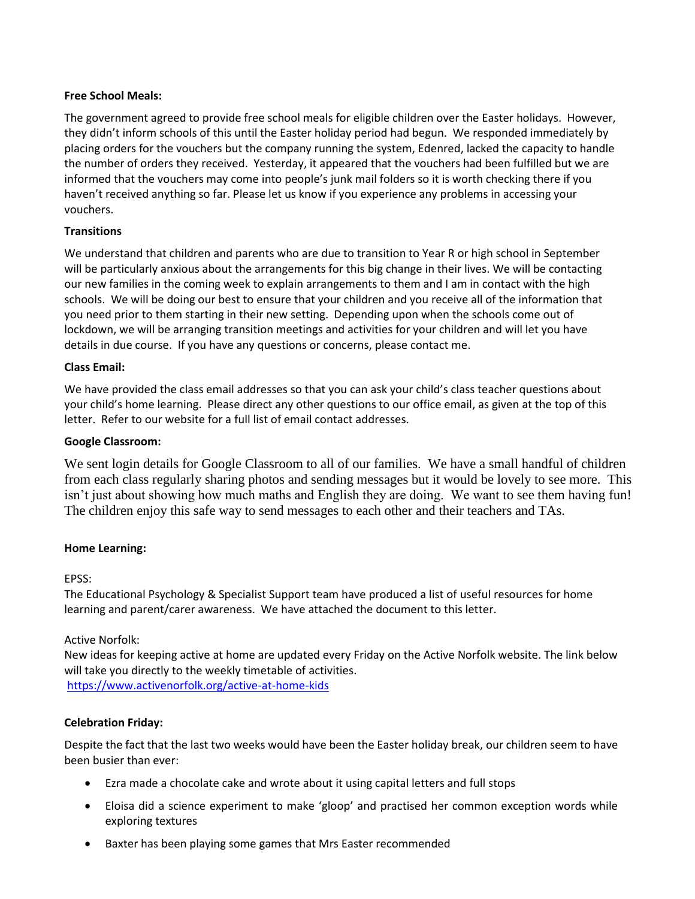#### **Free School Meals:**

The government agreed to provide free school meals for eligible children over the Easter holidays. However, they didn't inform schools of this until the Easter holiday period had begun. We responded immediately by placing orders for the vouchers but the company running the system, Edenred, lacked the capacity to handle the number of orders they received. Yesterday, it appeared that the vouchers had been fulfilled but we are informed that the vouchers may come into people's junk mail folders so it is worth checking there if you haven't received anything so far. Please let us know if you experience any problems in accessing your vouchers.

#### **Transitions**

We understand that children and parents who are due to transition to Year R or high school in September will be particularly anxious about the arrangements for this big change in their lives. We will be contacting our new families in the coming week to explain arrangements to them and I am in contact with the high schools. We will be doing our best to ensure that your children and you receive all of the information that you need prior to them starting in their new setting. Depending upon when the schools come out of lockdown, we will be arranging transition meetings and activities for your children and will let you have details in due course. If you have any questions or concerns, please contact me.

#### **Class Email:**

We have provided the class email addresses so that you can ask your child's class teacher questions about your child's home learning. Please direct any other questions to our office email, as given at the top of this letter. Refer to our website for a full list of email contact addresses.

#### **Google Classroom:**

We sent login details for Google Classroom to all of our families. We have a small handful of children from each class regularly sharing photos and sending messages but it would be lovely to see more. This isn't just about showing how much maths and English they are doing. We want to see them having fun! The children enjoy this safe way to send messages to each other and their teachers and TAs.

#### **Home Learning:**

#### EPSS:

The Educational Psychology & Specialist Support team have produced a list of useful resources for home learning and parent/carer awareness. We have attached the document to this letter.

#### Active Norfolk:

New ideas for keeping active at home are updated every Friday on the Active Norfolk website. The link below will take you directly to the weekly timetable of activities. <https://www.activenorfolk.org/active-at-home-kids>

#### **Celebration Friday:**

Despite the fact that the last two weeks would have been the Easter holiday break, our children seem to have been busier than ever:

- Ezra made a chocolate cake and wrote about it using capital letters and full stops
- Eloisa did a science experiment to make 'gloop' and practised her common exception words while exploring textures
- Baxter has been playing some games that Mrs Easter recommended